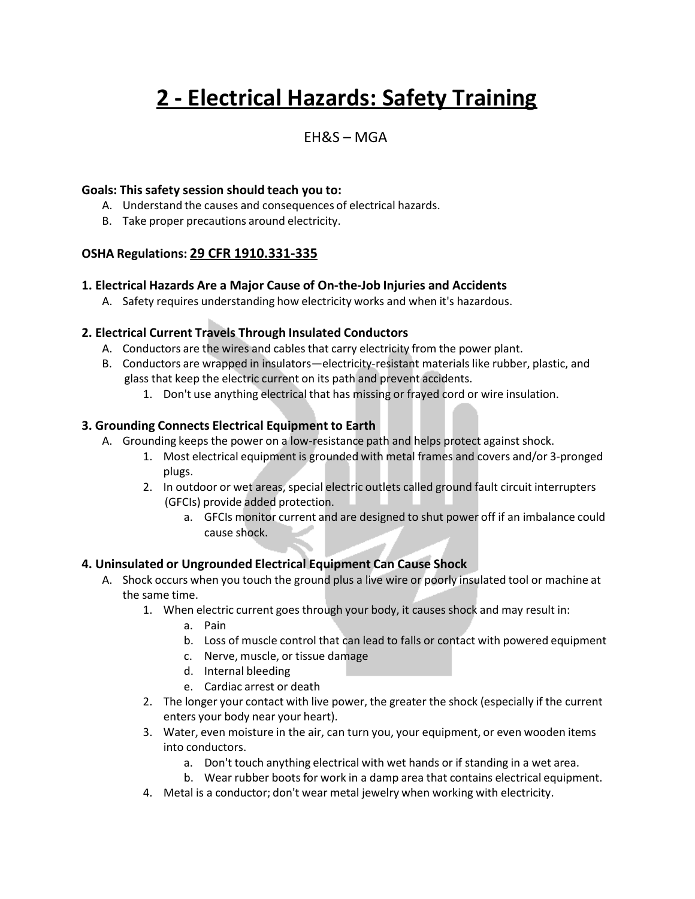# **2 - Electrical Hazards: Safety Training**

### EH&S – MGA

#### **Goals: This safety session should teach you to:**

- A. Understand the causes and consequences of electrical hazards.
- B. Take proper precautions around electricity.

#### **OSHA Regulations: 29 CFR 1910.331-335**

#### **1. Electrical Hazards Are a Major Cause of On-the-Job Injuries and Accidents**

A. Safety requires understanding how electricity works and when it's hazardous.

#### **2. Electrical Current Travels Through Insulated Conductors**

- A. Conductors are the wires and cables that carry electricity from the power plant.
- B. Conductors are wrapped in insulators—electricity-resistant materials like rubber, plastic, and glass that keep the electric current on its path and prevent accidents.
	- 1. Don't use anything electrical that has missing or frayed cord or wire insulation.

#### **3. Grounding Connects Electrical Equipment to Earth**

- A. Grounding keeps the power on a low-resistance path and helps protect against shock.
	- 1. Most electrical equipment is grounded with metal frames and covers and/or 3-pronged plugs.
	- 2. In outdoor or wet areas, special electric outlets called ground fault circuit interrupters (GFCIs) provide added protection.
		- a. GFCIs monitor current and are designed to shut power off if an imbalance could cause shock.

#### **4. Uninsulated or Ungrounded Electrical Equipment Can Cause Shock**

- A. Shock occurs when you touch the ground plus a live wire or poorly insulated tool or machine at the same time.
	- 1. When electric current goes through your body, it causes shock and may result in:
		- a. Pain
		- b. Loss of muscle control that can lead to falls or contact with powered equipment
		- c. Nerve, muscle, or tissue damage
		- d. Internal bleeding
		- e. Cardiac arrest or death
	- 2. The longer your contact with live power, the greater the shock (especially if the current enters your body near your heart).
	- 3. Water, even moisture in the air, can turn you, your equipment, or even wooden items into conductors.
		- a. Don't touch anything electrical with wet hands or if standing in a wet area.
		- b. Wear rubber boots for work in a damp area that contains electrical equipment.
	- 4. Metal is a conductor; don't wear metal jewelry when working with electricity.